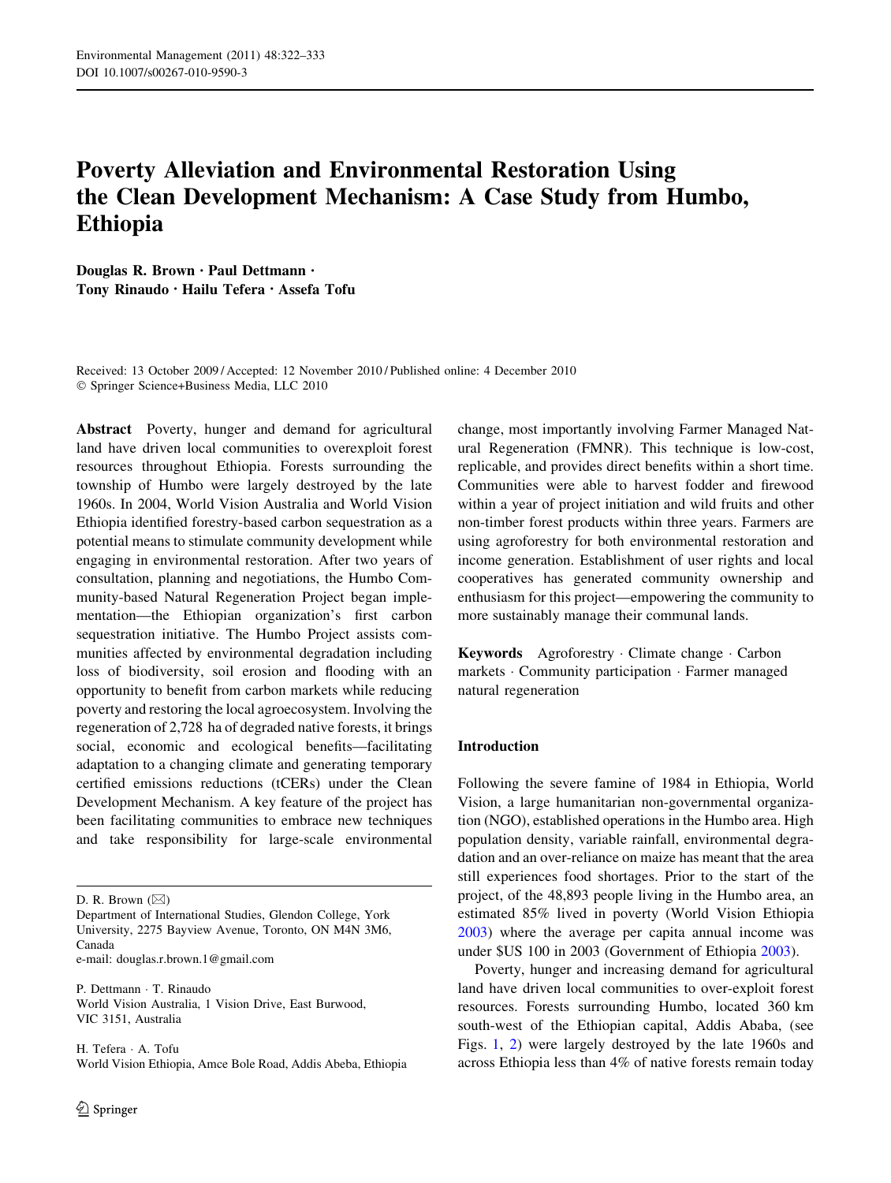# Poverty Alleviation and Environmental Restoration Using the Clean Development Mechanism: A Case Study from Humbo, Ethiopia

Douglas R. Brown • Paul Dettmann • Tony Rinaudo • Hailu Tefera • Assefa Tofu

Received: 13 October 2009 / Accepted: 12 November 2010 / Published online: 4 December 2010 - Springer Science+Business Media, LLC 2010

Abstract Poverty, hunger and demand for agricultural land have driven local communities to overexploit forest resources throughout Ethiopia. Forests surrounding the township of Humbo were largely destroyed by the late 1960s. In 2004, World Vision Australia and World Vision Ethiopia identified forestry-based carbon sequestration as a potential means to stimulate community development while engaging in environmental restoration. After two years of consultation, planning and negotiations, the Humbo Community-based Natural Regeneration Project began implementation—the Ethiopian organization's first carbon sequestration initiative. The Humbo Project assists communities affected by environmental degradation including loss of biodiversity, soil erosion and flooding with an opportunity to benefit from carbon markets while reducing poverty and restoring the local agroecosystem. Involving the regeneration of 2,728 ha of degraded native forests, it brings social, economic and ecological benefits—facilitating adaptation to a changing climate and generating temporary certified emissions reductions (tCERs) under the Clean Development Mechanism. A key feature of the project has been facilitating communities to embrace new techniques and take responsibility for large-scale environmental

D. R. Brown  $(\boxtimes)$ 

Department of International Studies, Glendon College, York University, 2275 Bayview Avenue, Toronto, ON M4N 3M6, Canada

e-mail: douglas.r.brown.1@gmail.com

P. Dettmann · T. Rinaudo World Vision Australia, 1 Vision Drive, East Burwood, VIC 3151, Australia

H. Tefera - A. Tofu World Vision Ethiopia, Amce Bole Road, Addis Abeba, Ethiopia change, most importantly involving Farmer Managed Natural Regeneration (FMNR). This technique is low-cost, replicable, and provides direct benefits within a short time. Communities were able to harvest fodder and firewood within a year of project initiation and wild fruits and other non-timber forest products within three years. Farmers are using agroforestry for both environmental restoration and income generation. Establishment of user rights and local cooperatives has generated community ownership and enthusiasm for this project—empowering the community to more sustainably manage their communal lands.

Keywords Agroforestry · Climate change · Carbon markets - Community participation - Farmer managed natural regeneration

## Introduction

Following the severe famine of 1984 in Ethiopia, World Vision, a large humanitarian non-governmental organization (NGO), established operations in the Humbo area. High population density, variable rainfall, environmental degradation and an over-reliance on maize has meant that the area still experiences food shortages. Prior to the start of the project, of the 48,893 people living in the Humbo area, an estimated 85% lived in poverty (World Vision Ethiopia [2003](#page-11-0)) where the average per capita annual income was under \$US 100 in 2003 (Government of Ethiopia [2003\)](#page-10-0).

Poverty, hunger and increasing demand for agricultural land have driven local communities to over-exploit forest resources. Forests surrounding Humbo, located 360 km south-west of the Ethiopian capital, Addis Ababa, (see Figs. [1](#page-1-0), [2\)](#page-2-0) were largely destroyed by the late 1960s and across Ethiopia less than 4% of native forests remain today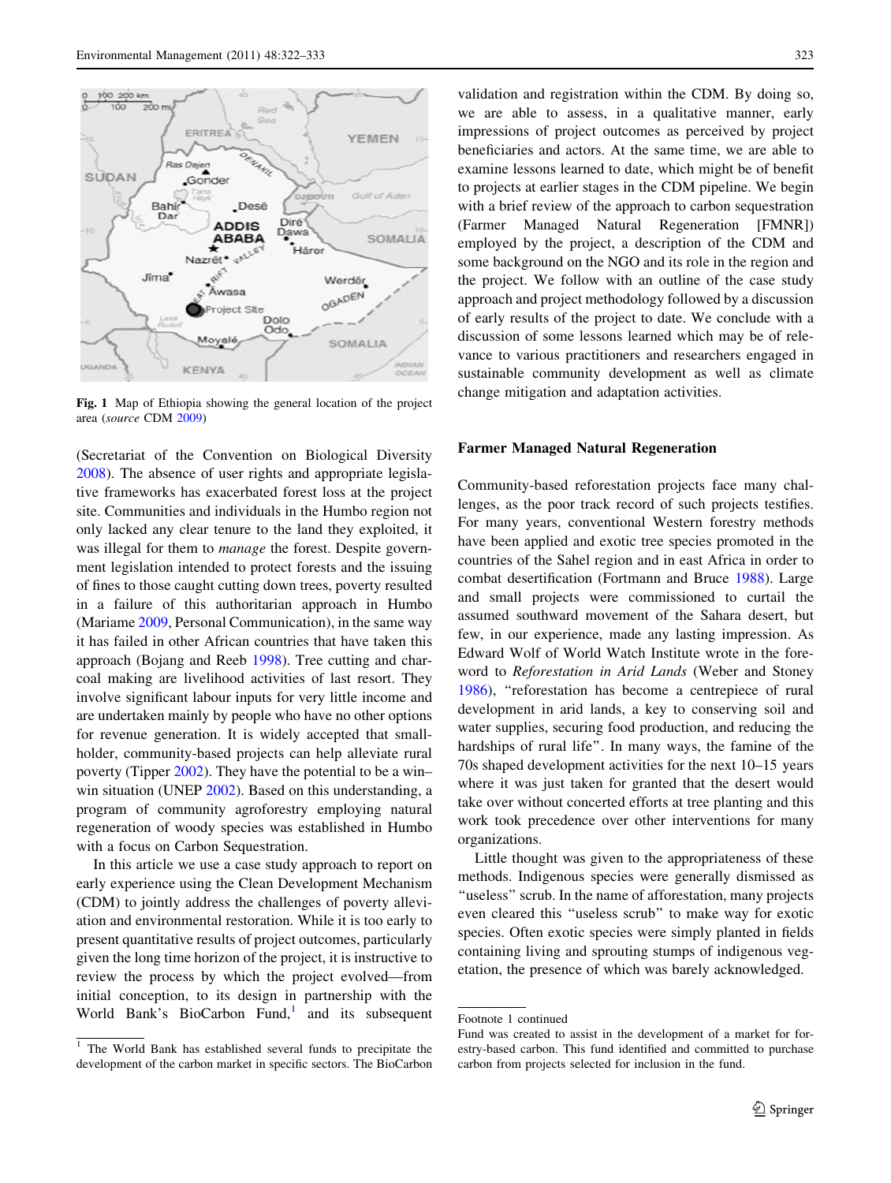<span id="page-1-0"></span>

Fig. 1 Map of Ethiopia showing the general location of the project area (source CDM [2009](#page-10-0))

(Secretariat of the Convention on Biological Diversity [2008\)](#page-11-0). The absence of user rights and appropriate legislative frameworks has exacerbated forest loss at the project site. Communities and individuals in the Humbo region not only lacked any clear tenure to the land they exploited, it was illegal for them to *manage* the forest. Despite government legislation intended to protect forests and the issuing of fines to those caught cutting down trees, poverty resulted in a failure of this authoritarian approach in Humbo (Mariame [2009](#page-11-0), Personal Communication), in the same way it has failed in other African countries that have taken this approach (Bojang and Reeb [1998\)](#page-10-0). Tree cutting and charcoal making are livelihood activities of last resort. They involve significant labour inputs for very little income and are undertaken mainly by people who have no other options for revenue generation. It is widely accepted that smallholder, community-based projects can help alleviate rural poverty (Tipper [2002](#page-11-0)). They have the potential to be a win– win situation (UNEP [2002\)](#page-11-0). Based on this understanding, a program of community agroforestry employing natural regeneration of woody species was established in Humbo with a focus on Carbon Sequestration.

In this article we use a case study approach to report on early experience using the Clean Development Mechanism (CDM) to jointly address the challenges of poverty alleviation and environmental restoration. While it is too early to present quantitative results of project outcomes, particularly given the long time horizon of the project, it is instructive to review the process by which the project evolved—from initial conception, to its design in partnership with the World Bank's BioCarbon Fund, $\frac{1}{1}$  and its subsequent

validation and registration within the CDM. By doing so, we are able to assess, in a qualitative manner, early impressions of project outcomes as perceived by project beneficiaries and actors. At the same time, we are able to examine lessons learned to date, which might be of benefit to projects at earlier stages in the CDM pipeline. We begin with a brief review of the approach to carbon sequestration (Farmer Managed Natural Regeneration [FMNR]) employed by the project, a description of the CDM and some background on the NGO and its role in the region and the project. We follow with an outline of the case study approach and project methodology followed by a discussion of early results of the project to date. We conclude with a discussion of some lessons learned which may be of relevance to various practitioners and researchers engaged in sustainable community development as well as climate change mitigation and adaptation activities.

#### Farmer Managed Natural Regeneration

Community-based reforestation projects face many challenges, as the poor track record of such projects testifies. For many years, conventional Western forestry methods have been applied and exotic tree species promoted in the countries of the Sahel region and in east Africa in order to combat desertification (Fortmann and Bruce [1988](#page-10-0)). Large and small projects were commissioned to curtail the assumed southward movement of the Sahara desert, but few, in our experience, made any lasting impression. As Edward Wolf of World Watch Institute wrote in the foreword to Reforestation in Arid Lands (Weber and Stoney [1986](#page-11-0)), ''reforestation has become a centrepiece of rural development in arid lands, a key to conserving soil and water supplies, securing food production, and reducing the hardships of rural life''. In many ways, the famine of the 70s shaped development activities for the next 10–15 years where it was just taken for granted that the desert would take over without concerted efforts at tree planting and this work took precedence over other interventions for many organizations.

Little thought was given to the appropriateness of these methods. Indigenous species were generally dismissed as ''useless'' scrub. In the name of afforestation, many projects even cleared this ''useless scrub'' to make way for exotic species. Often exotic species were simply planted in fields containing living and sprouting stumps of indigenous vegetation, the presence of which was barely acknowledged.

<sup>&</sup>lt;sup>1</sup> The World Bank has established several funds to precipitate the development of the carbon market in specific sectors. The BioCarbon

Footnote 1 continued

Fund was created to assist in the development of a market for forestry-based carbon. This fund identified and committed to purchase carbon from projects selected for inclusion in the fund.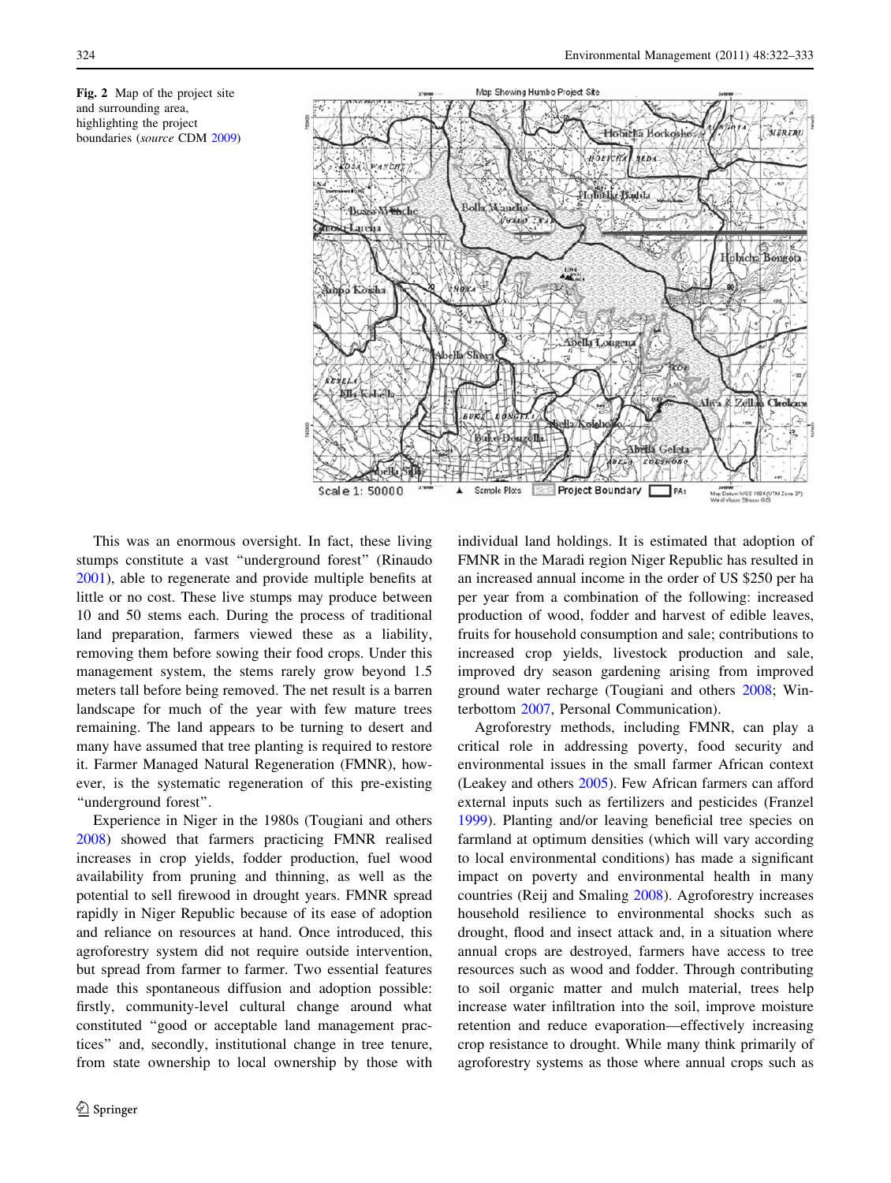<span id="page-2-0"></span>



This was an enormous oversight. In fact, these living stumps constitute a vast ''underground forest'' (Rinaudo [2001\)](#page-11-0), able to regenerate and provide multiple benefits at little or no cost. These live stumps may produce between 10 and 50 stems each. During the process of traditional land preparation, farmers viewed these as a liability, removing them before sowing their food crops. Under this management system, the stems rarely grow beyond 1.5 meters tall before being removed. The net result is a barren landscape for much of the year with few mature trees remaining. The land appears to be turning to desert and many have assumed that tree planting is required to restore it. Farmer Managed Natural Regeneration (FMNR), however, is the systematic regeneration of this pre-existing ''underground forest''.

Experience in Niger in the 1980s (Tougiani and others [2008\)](#page-11-0) showed that farmers practicing FMNR realised increases in crop yields, fodder production, fuel wood availability from pruning and thinning, as well as the potential to sell firewood in drought years. FMNR spread rapidly in Niger Republic because of its ease of adoption and reliance on resources at hand. Once introduced, this agroforestry system did not require outside intervention, but spread from farmer to farmer. Two essential features made this spontaneous diffusion and adoption possible: firstly, community-level cultural change around what constituted ''good or acceptable land management practices'' and, secondly, institutional change in tree tenure, from state ownership to local ownership by those with individual land holdings. It is estimated that adoption of FMNR in the Maradi region Niger Republic has resulted in an increased annual income in the order of US \$250 per ha per year from a combination of the following: increased production of wood, fodder and harvest of edible leaves, fruits for household consumption and sale; contributions to increased crop yields, livestock production and sale, improved dry season gardening arising from improved ground water recharge (Tougiani and others [2008](#page-11-0); Winterbottom [2007](#page-11-0), Personal Communication).

Agroforestry methods, including FMNR, can play a critical role in addressing poverty, food security and environmental issues in the small farmer African context (Leakey and others [2005\)](#page-11-0). Few African farmers can afford external inputs such as fertilizers and pesticides (Franzel [1999](#page-10-0)). Planting and/or leaving beneficial tree species on farmland at optimum densities (which will vary according to local environmental conditions) has made a significant impact on poverty and environmental health in many countries (Reij and Smaling [2008\)](#page-11-0). Agroforestry increases household resilience to environmental shocks such as drought, flood and insect attack and, in a situation where annual crops are destroyed, farmers have access to tree resources such as wood and fodder. Through contributing to soil organic matter and mulch material, trees help increase water infiltration into the soil, improve moisture retention and reduce evaporation—effectively increasing crop resistance to drought. While many think primarily of agroforestry systems as those where annual crops such as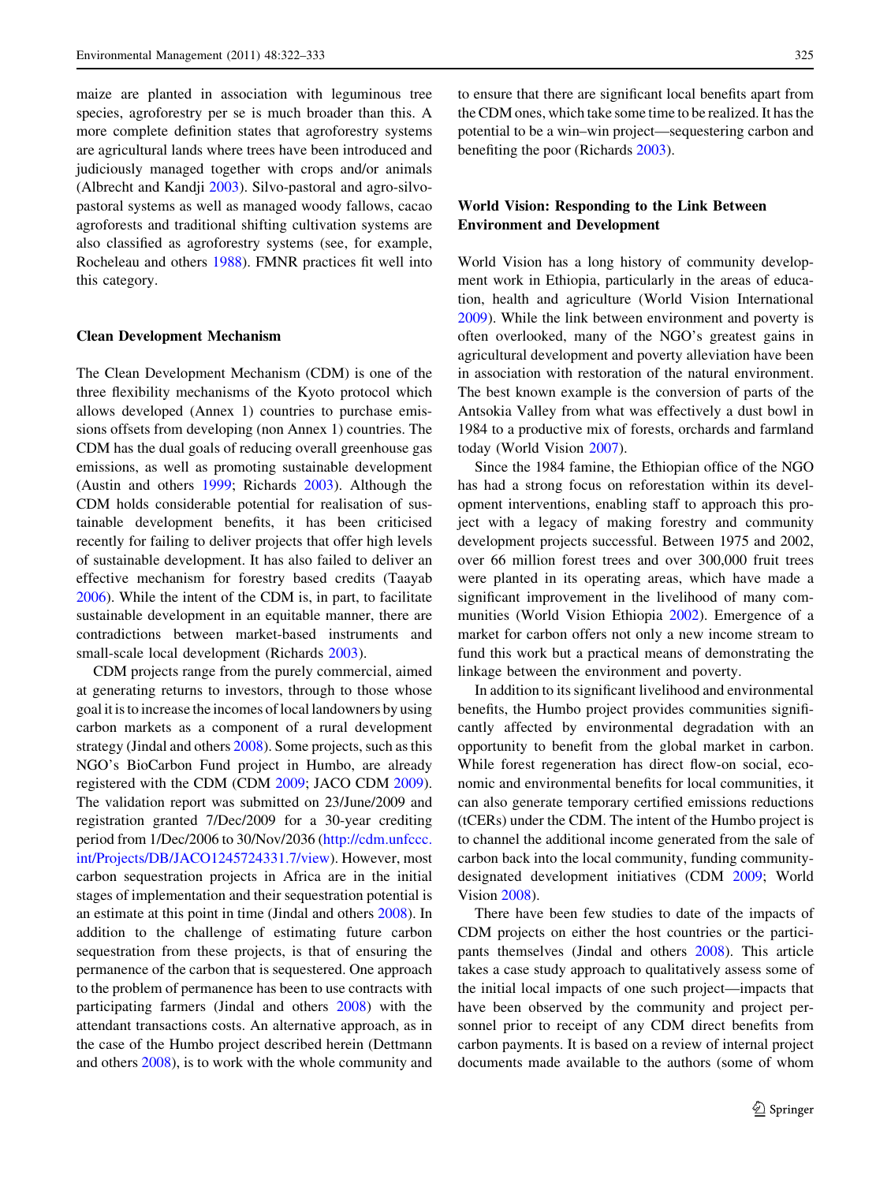maize are planted in association with leguminous tree species, agroforestry per se is much broader than this. A more complete definition states that agroforestry systems are agricultural lands where trees have been introduced and judiciously managed together with crops and/or animals (Albrecht and Kandji [2003\)](#page-10-0). Silvo-pastoral and agro-silvopastoral systems as well as managed woody fallows, cacao agroforests and traditional shifting cultivation systems are also classified as agroforestry systems (see, for example, Rocheleau and others [1988\)](#page-11-0). FMNR practices fit well into this category.

#### Clean Development Mechanism

The Clean Development Mechanism (CDM) is one of the three flexibility mechanisms of the Kyoto protocol which allows developed (Annex 1) countries to purchase emissions offsets from developing (non Annex 1) countries. The CDM has the dual goals of reducing overall greenhouse gas emissions, as well as promoting sustainable development (Austin and others [1999;](#page-10-0) Richards [2003](#page-11-0)). Although the CDM holds considerable potential for realisation of sustainable development benefits, it has been criticised recently for failing to deliver projects that offer high levels of sustainable development. It has also failed to deliver an effective mechanism for forestry based credits (Taayab [2006\)](#page-11-0). While the intent of the CDM is, in part, to facilitate sustainable development in an equitable manner, there are contradictions between market-based instruments and small-scale local development (Richards [2003\)](#page-11-0).

CDM projects range from the purely commercial, aimed at generating returns to investors, through to those whose goal it is to increase the incomes of local landowners by using carbon markets as a component of a rural development strategy (Jindal and others [2008](#page-10-0)). Some projects, such as this NGO's BioCarbon Fund project in Humbo, are already registered with the CDM (CDM [2009](#page-10-0); JACO CDM [2009](#page-10-0)). The validation report was submitted on 23/June/2009 and registration granted 7/Dec/2009 for a 30-year crediting period from 1/Dec/2006 to 30/Nov/2036 [\(http://cdm.unfccc.](http://cdm.unfccc.int/Projects/DB/JACO1245724331.7/view) [int/Projects/DB/JACO1245724331.7/view\)](http://cdm.unfccc.int/Projects/DB/JACO1245724331.7/view). However, most carbon sequestration projects in Africa are in the initial stages of implementation and their sequestration potential is an estimate at this point in time (Jindal and others [2008\)](#page-10-0). In addition to the challenge of estimating future carbon sequestration from these projects, is that of ensuring the permanence of the carbon that is sequestered. One approach to the problem of permanence has been to use contracts with participating farmers (Jindal and others [2008](#page-10-0)) with the attendant transactions costs. An alternative approach, as in the case of the Humbo project described herein (Dettmann and others [2008\)](#page-10-0), is to work with the whole community and to ensure that there are significant local benefits apart from the CDM ones, which take some time to be realized. It has the potential to be a win–win project—sequestering carbon and benefiting the poor (Richards [2003\)](#page-11-0).

# World Vision: Responding to the Link Between Environment and Development

World Vision has a long history of community development work in Ethiopia, particularly in the areas of education, health and agriculture (World Vision International [2009](#page-11-0)). While the link between environment and poverty is often overlooked, many of the NGO's greatest gains in agricultural development and poverty alleviation have been in association with restoration of the natural environment. The best known example is the conversion of parts of the Antsokia Valley from what was effectively a dust bowl in 1984 to a productive mix of forests, orchards and farmland today (World Vision [2007\)](#page-11-0).

Since the 1984 famine, the Ethiopian office of the NGO has had a strong focus on reforestation within its development interventions, enabling staff to approach this project with a legacy of making forestry and community development projects successful. Between 1975 and 2002, over 66 million forest trees and over 300,000 fruit trees were planted in its operating areas, which have made a significant improvement in the livelihood of many communities (World Vision Ethiopia [2002](#page-11-0)). Emergence of a market for carbon offers not only a new income stream to fund this work but a practical means of demonstrating the linkage between the environment and poverty.

In addition to its significant livelihood and environmental benefits, the Humbo project provides communities significantly affected by environmental degradation with an opportunity to benefit from the global market in carbon. While forest regeneration has direct flow-on social, economic and environmental benefits for local communities, it can also generate temporary certified emissions reductions (tCERs) under the CDM. The intent of the Humbo project is to channel the additional income generated from the sale of carbon back into the local community, funding communitydesignated development initiatives (CDM [2009;](#page-10-0) World Vision [2008](#page-11-0)).

There have been few studies to date of the impacts of CDM projects on either the host countries or the participants themselves (Jindal and others [2008\)](#page-10-0). This article takes a case study approach to qualitatively assess some of the initial local impacts of one such project—impacts that have been observed by the community and project personnel prior to receipt of any CDM direct benefits from carbon payments. It is based on a review of internal project documents made available to the authors (some of whom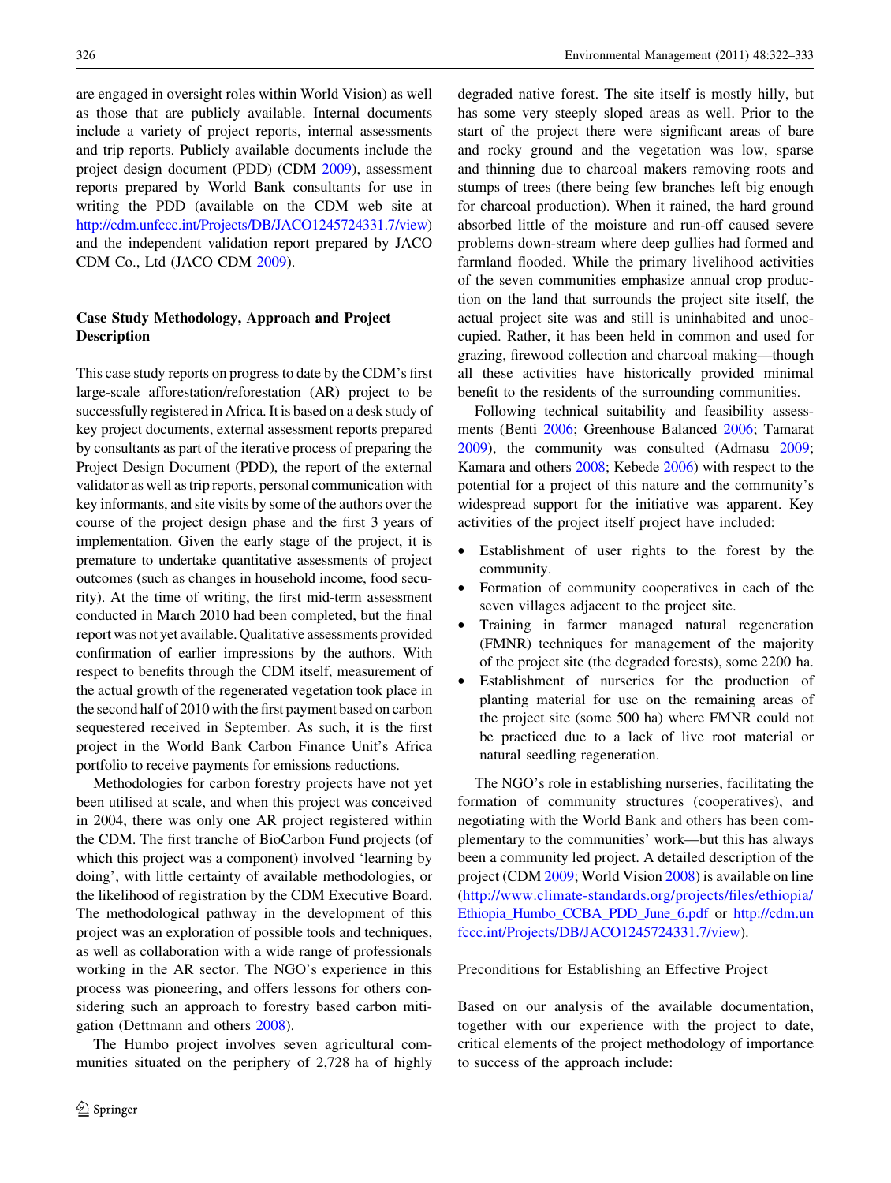are engaged in oversight roles within World Vision) as well as those that are publicly available. Internal documents include a variety of project reports, internal assessments and trip reports. Publicly available documents include the project design document (PDD) (CDM [2009](#page-10-0)), assessment reports prepared by World Bank consultants for use in writing the PDD (available on the CDM web site at [http://cdm.unfccc.int/Projects/DB/JACO1245724331.7/view\)](http://cdm.unfccc.int/Projects/DB/JACO1245724331.7/view) and the independent validation report prepared by JACO CDM Co., Ltd (JACO CDM [2009\)](#page-10-0).

# Case Study Methodology, Approach and Project Description

This case study reports on progress to date by the CDM's first large-scale afforestation/reforestation (AR) project to be successfully registered in Africa. It is based on a desk study of key project documents, external assessment reports prepared by consultants as part of the iterative process of preparing the Project Design Document (PDD), the report of the external validator as well as trip reports, personal communication with key informants, and site visits by some of the authors over the course of the project design phase and the first 3 years of implementation. Given the early stage of the project, it is premature to undertake quantitative assessments of project outcomes (such as changes in household income, food security). At the time of writing, the first mid-term assessment conducted in March 2010 had been completed, but the final report was not yet available. Qualitative assessments provided confirmation of earlier impressions by the authors. With respect to benefits through the CDM itself, measurement of the actual growth of the regenerated vegetation took place in the second half of 2010 with the first payment based on carbon sequestered received in September. As such, it is the first project in the World Bank Carbon Finance Unit's Africa portfolio to receive payments for emissions reductions.

Methodologies for carbon forestry projects have not yet been utilised at scale, and when this project was conceived in 2004, there was only one AR project registered within the CDM. The first tranche of BioCarbon Fund projects (of which this project was a component) involved 'learning by doing', with little certainty of available methodologies, or the likelihood of registration by the CDM Executive Board. The methodological pathway in the development of this project was an exploration of possible tools and techniques, as well as collaboration with a wide range of professionals working in the AR sector. The NGO's experience in this process was pioneering, and offers lessons for others considering such an approach to forestry based carbon mitigation (Dettmann and others [2008](#page-10-0)).

The Humbo project involves seven agricultural communities situated on the periphery of 2,728 ha of highly degraded native forest. The site itself is mostly hilly, but has some very steeply sloped areas as well. Prior to the start of the project there were significant areas of bare and rocky ground and the vegetation was low, sparse and thinning due to charcoal makers removing roots and stumps of trees (there being few branches left big enough for charcoal production). When it rained, the hard ground absorbed little of the moisture and run-off caused severe problems down-stream where deep gullies had formed and farmland flooded. While the primary livelihood activities of the seven communities emphasize annual crop production on the land that surrounds the project site itself, the actual project site was and still is uninhabited and unoccupied. Rather, it has been held in common and used for grazing, firewood collection and charcoal making—though all these activities have historically provided minimal benefit to the residents of the surrounding communities.

Following technical suitability and feasibility assessments (Benti [2006](#page-10-0); Greenhouse Balanced [2006;](#page-10-0) Tamarat [2009](#page-11-0)), the community was consulted (Admasu [2009](#page-10-0); Kamara and others [2008;](#page-10-0) Kebede [2006\)](#page-11-0) with respect to the potential for a project of this nature and the community's widespread support for the initiative was apparent. Key activities of the project itself project have included:

- Establishment of user rights to the forest by the community.
- Formation of community cooperatives in each of the seven villages adjacent to the project site.
- Training in farmer managed natural regeneration (FMNR) techniques for management of the majority of the project site (the degraded forests), some 2200 ha.
- Establishment of nurseries for the production of planting material for use on the remaining areas of the project site (some 500 ha) where FMNR could not be practiced due to a lack of live root material or natural seedling regeneration.

The NGO's role in establishing nurseries, facilitating the formation of community structures (cooperatives), and negotiating with the World Bank and others has been complementary to the communities' work—but this has always been a community led project. A detailed description of the project (CDM [2009;](#page-10-0) World Vision [2008\)](#page-11-0) is available on line ([http://www.climate-standards.org/projects/files/ethiopia/](http://www.climate-standards.org/projects/files/ethiopia/Ethiopia_Humbo_CCBA_PDD_June_6.pdf) [Ethiopia\\_Humbo\\_CCBA\\_PDD\\_June\\_6.pdf](http://www.climate-standards.org/projects/files/ethiopia/Ethiopia_Humbo_CCBA_PDD_June_6.pdf) or [http://cdm.un](http://cdm.unfccc.int/Projects/DB/JACO1245724331.7/view) [fccc.int/Projects/DB/JACO1245724331.7/view\)](http://cdm.unfccc.int/Projects/DB/JACO1245724331.7/view).

Preconditions for Establishing an Effective Project

Based on our analysis of the available documentation, together with our experience with the project to date, critical elements of the project methodology of importance to success of the approach include: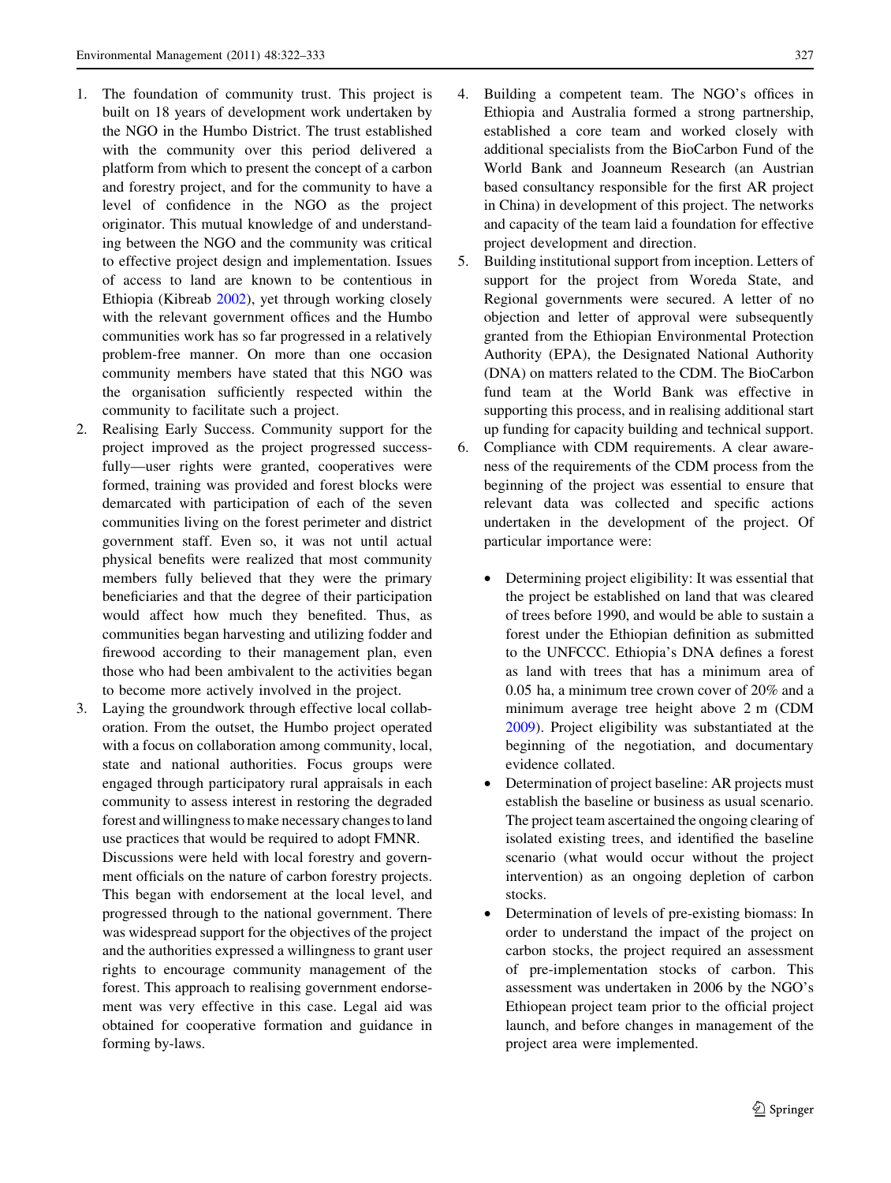- 1. The foundation of community trust. This project is built on 18 years of development work undertaken by the NGO in the Humbo District. The trust established with the community over this period delivered a platform from which to present the concept of a carbon and forestry project, and for the community to have a level of confidence in the NGO as the project originator. This mutual knowledge of and understanding between the NGO and the community was critical to effective project design and implementation. Issues of access to land are known to be contentious in Ethiopia (Kibreab [2002\)](#page-11-0), yet through working closely with the relevant government offices and the Humbo communities work has so far progressed in a relatively problem-free manner. On more than one occasion community members have stated that this NGO was the organisation sufficiently respected within the community to facilitate such a project.
- 2. Realising Early Success. Community support for the project improved as the project progressed successfully—user rights were granted, cooperatives were formed, training was provided and forest blocks were demarcated with participation of each of the seven communities living on the forest perimeter and district government staff. Even so, it was not until actual physical benefits were realized that most community members fully believed that they were the primary beneficiaries and that the degree of their participation would affect how much they benefited. Thus, as communities began harvesting and utilizing fodder and firewood according to their management plan, even those who had been ambivalent to the activities began to become more actively involved in the project.
- 3. Laying the groundwork through effective local collaboration. From the outset, the Humbo project operated with a focus on collaboration among community, local, state and national authorities. Focus groups were engaged through participatory rural appraisals in each community to assess interest in restoring the degraded forest and willingness to make necessary changes to land use practices that would be required to adopt FMNR.

Discussions were held with local forestry and government officials on the nature of carbon forestry projects. This began with endorsement at the local level, and progressed through to the national government. There was widespread support for the objectives of the project and the authorities expressed a willingness to grant user rights to encourage community management of the forest. This approach to realising government endorsement was very effective in this case. Legal aid was obtained for cooperative formation and guidance in forming by-laws.

- 4. Building a competent team. The NGO's offices in Ethiopia and Australia formed a strong partnership, established a core team and worked closely with additional specialists from the BioCarbon Fund of the World Bank and Joanneum Research (an Austrian based consultancy responsible for the first AR project in China) in development of this project. The networks and capacity of the team laid a foundation for effective project development and direction.
- 5. Building institutional support from inception. Letters of support for the project from Woreda State, and Regional governments were secured. A letter of no objection and letter of approval were subsequently granted from the Ethiopian Environmental Protection Authority (EPA), the Designated National Authority (DNA) on matters related to the CDM. The BioCarbon fund team at the World Bank was effective in supporting this process, and in realising additional start up funding for capacity building and technical support.
- 6. Compliance with CDM requirements. A clear awareness of the requirements of the CDM process from the beginning of the project was essential to ensure that relevant data was collected and specific actions undertaken in the development of the project. Of particular importance were:
	- Determining project eligibility: It was essential that the project be established on land that was cleared of trees before 1990, and would be able to sustain a forest under the Ethiopian definition as submitted to the UNFCCC. Ethiopia's DNA defines a forest as land with trees that has a minimum area of 0.05 ha, a minimum tree crown cover of 20% and a minimum average tree height above 2 m (CDM [2009](#page-10-0)). Project eligibility was substantiated at the beginning of the negotiation, and documentary evidence collated.
	- Determination of project baseline: AR projects must establish the baseline or business as usual scenario. The project team ascertained the ongoing clearing of isolated existing trees, and identified the baseline scenario (what would occur without the project intervention) as an ongoing depletion of carbon stocks.
	- Determination of levels of pre-existing biomass: In order to understand the impact of the project on carbon stocks, the project required an assessment of pre-implementation stocks of carbon. This assessment was undertaken in 2006 by the NGO's Ethiopean project team prior to the official project launch, and before changes in management of the project area were implemented.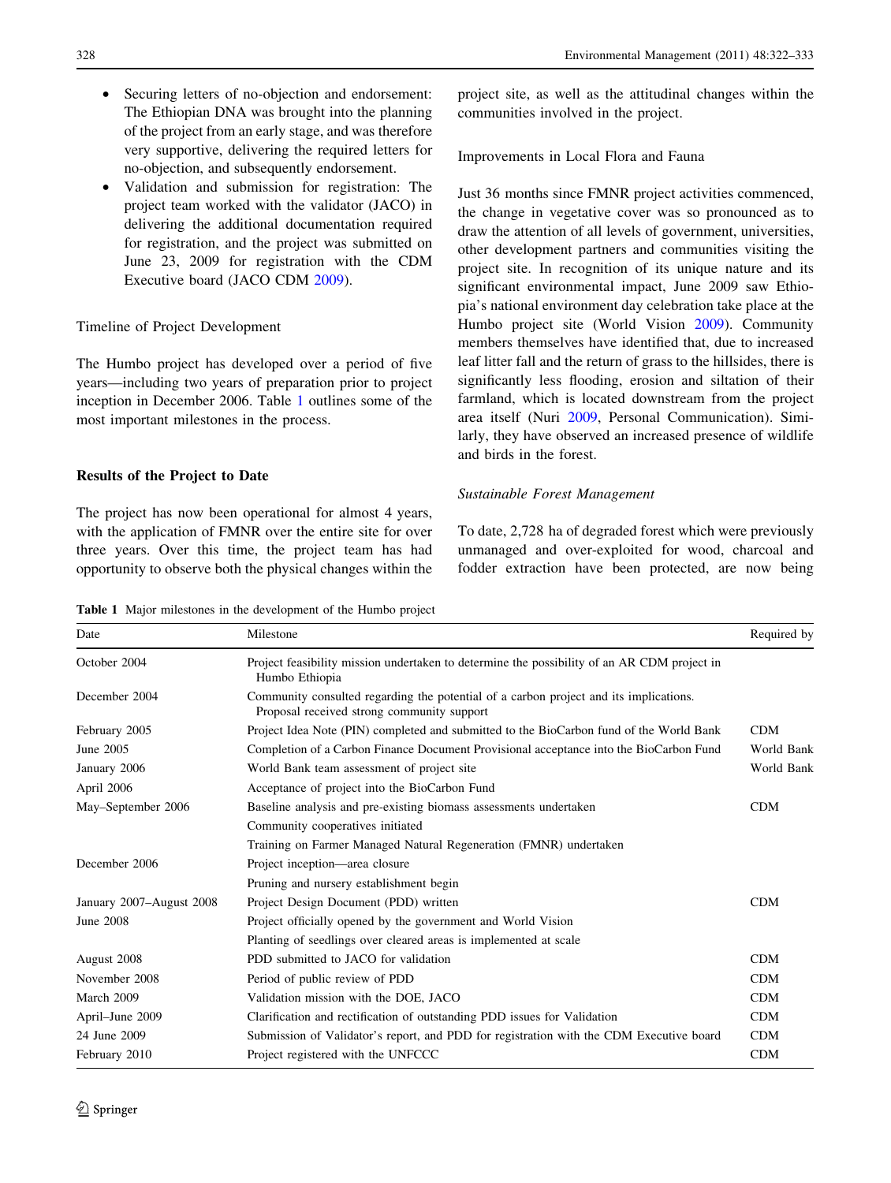- Securing letters of no-objection and endorsement: The Ethiopian DNA was brought into the planning of the project from an early stage, and was therefore very supportive, delivering the required letters for no-objection, and subsequently endorsement.
- Validation and submission for registration: The project team worked with the validator (JACO) in delivering the additional documentation required for registration, and the project was submitted on June 23, 2009 for registration with the CDM Executive board (JACO CDM [2009](#page-10-0)).

## Timeline of Project Development

The Humbo project has developed over a period of five years—including two years of preparation prior to project inception in December 2006. Table 1 outlines some of the most important milestones in the process.

# Results of the Project to Date

The project has now been operational for almost 4 years, with the application of FMNR over the entire site for over three years. Over this time, the project team has had opportunity to observe both the physical changes within the project site, as well as the attitudinal changes within the communities involved in the project.

Improvements in Local Flora and Fauna

Just 36 months since FMNR project activities commenced, the change in vegetative cover was so pronounced as to draw the attention of all levels of government, universities, other development partners and communities visiting the project site. In recognition of its unique nature and its significant environmental impact, June 2009 saw Ethiopia's national environment day celebration take place at the Humbo project site (World Vision [2009](#page-11-0)). Community members themselves have identified that, due to increased leaf litter fall and the return of grass to the hillsides, there is significantly less flooding, erosion and siltation of their farmland, which is located downstream from the project area itself (Nuri [2009,](#page-11-0) Personal Communication). Similarly, they have observed an increased presence of wildlife and birds in the forest.

# Sustainable Forest Management

To date, 2,728 ha of degraded forest which were previously unmanaged and over-exploited for wood, charcoal and fodder extraction have been protected, are now being

Table 1 Major milestones in the development of the Humbo project

| Date                     | Milestone                                                                                                                           | Required by |
|--------------------------|-------------------------------------------------------------------------------------------------------------------------------------|-------------|
| October 2004             | Project feasibility mission undertaken to determine the possibility of an AR CDM project in<br>Humbo Ethiopia                       |             |
| December 2004            | Community consulted regarding the potential of a carbon project and its implications.<br>Proposal received strong community support |             |
| February 2005            | Project Idea Note (PIN) completed and submitted to the BioCarbon fund of the World Bank                                             | <b>CDM</b>  |
| June 2005                | Completion of a Carbon Finance Document Provisional acceptance into the BioCarbon Fund                                              | World Bank  |
| January 2006             | World Bank team assessment of project site                                                                                          | World Bank  |
| April 2006               | Acceptance of project into the BioCarbon Fund                                                                                       |             |
| May-September 2006       | Baseline analysis and pre-existing biomass assessments undertaken                                                                   | <b>CDM</b>  |
|                          | Community cooperatives initiated                                                                                                    |             |
|                          | Training on Farmer Managed Natural Regeneration (FMNR) undertaken                                                                   |             |
| December 2006            | Project inception—area closure                                                                                                      |             |
|                          | Pruning and nursery establishment begin                                                                                             |             |
| January 2007-August 2008 | Project Design Document (PDD) written                                                                                               | <b>CDM</b>  |
| June 2008                | Project officially opened by the government and World Vision                                                                        |             |
|                          | Planting of seedlings over cleared areas is implemented at scale                                                                    |             |
| August 2008              | PDD submitted to JACO for validation                                                                                                | <b>CDM</b>  |
| November 2008            | Period of public review of PDD                                                                                                      | <b>CDM</b>  |
| March 2009               | Validation mission with the DOE, JACO                                                                                               | <b>CDM</b>  |
| April-June 2009          | Clarification and rectification of outstanding PDD issues for Validation                                                            | <b>CDM</b>  |
| 24 June 2009             | Submission of Validator's report, and PDD for registration with the CDM Executive board                                             | <b>CDM</b>  |
| February 2010            | Project registered with the UNFCCC                                                                                                  | <b>CDM</b>  |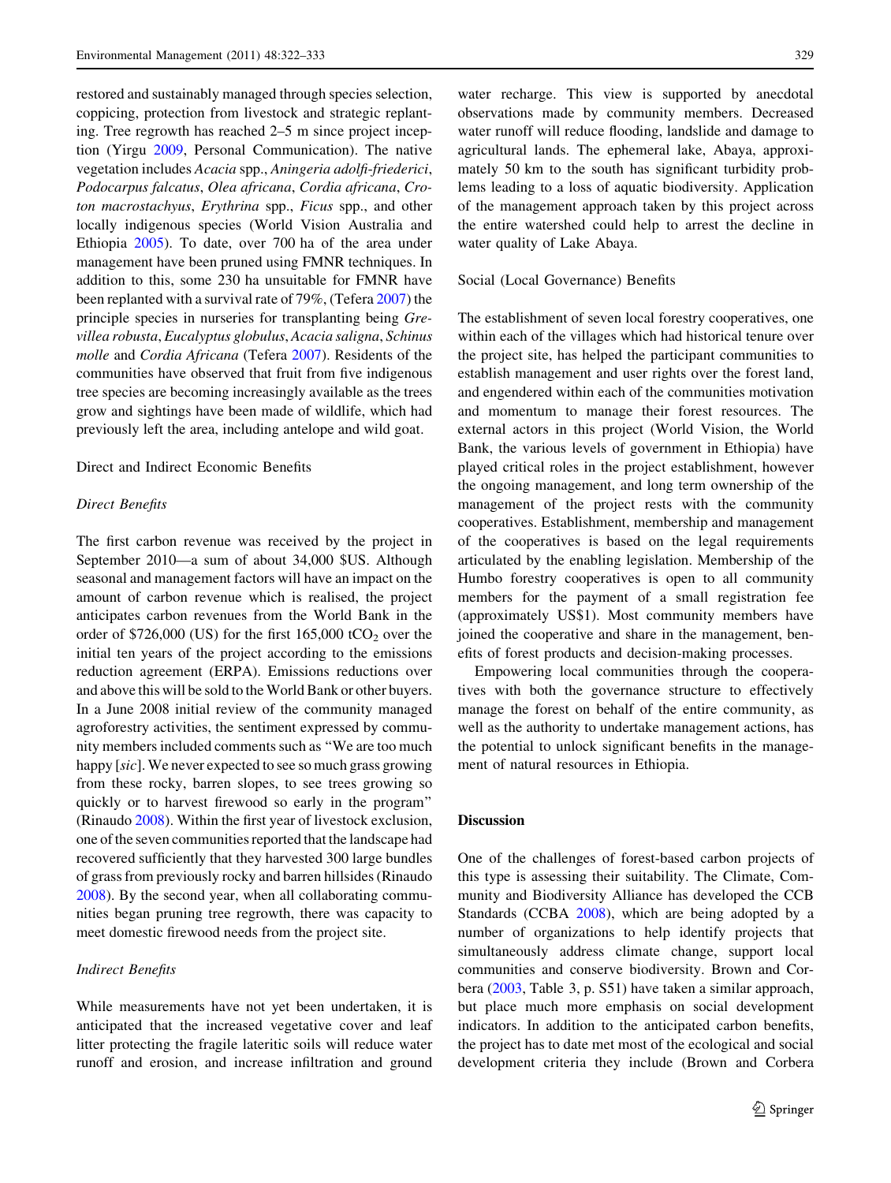restored and sustainably managed through species selection, coppicing, protection from livestock and strategic replanting. Tree regrowth has reached 2–5 m since project inception (Yirgu [2009,](#page-11-0) Personal Communication). The native vegetation includes Acacia spp., Aningeria adolfi-friederici, Podocarpus falcatus, Olea africana, Cordia africana, Croton macrostachyus, Erythrina spp., Ficus spp., and other locally indigenous species (World Vision Australia and Ethiopia [2005\)](#page-11-0). To date, over 700 ha of the area under management have been pruned using FMNR techniques. In addition to this, some 230 ha unsuitable for FMNR have been replanted with a survival rate of 79%, (Tefera [2007\)](#page-11-0) the principle species in nurseries for transplanting being Grevillea robusta, Eucalyptus globulus, Acacia saligna, Schinus molle and Cordia Africana (Tefera [2007](#page-11-0)). Residents of the communities have observed that fruit from five indigenous tree species are becoming increasingly available as the trees grow and sightings have been made of wildlife, which had previously left the area, including antelope and wild goat.

Direct and Indirect Economic Benefits

#### Direct Benefits

The first carbon revenue was received by the project in September 2010—a sum of about 34,000 \$US. Although seasonal and management factors will have an impact on the amount of carbon revenue which is realised, the project anticipates carbon revenues from the World Bank in the order of  $$726,000$  (US) for the first 165,000 tCO<sub>2</sub> over the initial ten years of the project according to the emissions reduction agreement (ERPA). Emissions reductions over and above this will be sold to the World Bank or other buyers. In a June 2008 initial review of the community managed agroforestry activities, the sentiment expressed by community members included comments such as ''We are too much happy [sic]. We never expected to see so much grass growing from these rocky, barren slopes, to see trees growing so quickly or to harvest firewood so early in the program'' (Rinaudo [2008](#page-11-0)). Within the first year of livestock exclusion, one of the seven communities reported that the landscape had recovered sufficiently that they harvested 300 large bundles of grass from previously rocky and barren hillsides (Rinaudo [2008\)](#page-11-0). By the second year, when all collaborating communities began pruning tree regrowth, there was capacity to meet domestic firewood needs from the project site.

# Indirect Benefits

While measurements have not yet been undertaken, it is anticipated that the increased vegetative cover and leaf litter protecting the fragile lateritic soils will reduce water runoff and erosion, and increase infiltration and ground

water recharge. This view is supported by anecdotal observations made by community members. Decreased water runoff will reduce flooding, landslide and damage to agricultural lands. The ephemeral lake, Abaya, approximately 50 km to the south has significant turbidity problems leading to a loss of aquatic biodiversity. Application of the management approach taken by this project across the entire watershed could help to arrest the decline in water quality of Lake Abaya.

Social (Local Governance) Benefits

The establishment of seven local forestry cooperatives, one within each of the villages which had historical tenure over the project site, has helped the participant communities to establish management and user rights over the forest land, and engendered within each of the communities motivation and momentum to manage their forest resources. The external actors in this project (World Vision, the World Bank, the various levels of government in Ethiopia) have played critical roles in the project establishment, however the ongoing management, and long term ownership of the management of the project rests with the community cooperatives. Establishment, membership and management of the cooperatives is based on the legal requirements articulated by the enabling legislation. Membership of the Humbo forestry cooperatives is open to all community members for the payment of a small registration fee (approximately US\$1). Most community members have joined the cooperative and share in the management, benefits of forest products and decision-making processes.

Empowering local communities through the cooperatives with both the governance structure to effectively manage the forest on behalf of the entire community, as well as the authority to undertake management actions, has the potential to unlock significant benefits in the management of natural resources in Ethiopia.

## Discussion

One of the challenges of forest-based carbon projects of this type is assessing their suitability. The Climate, Community and Biodiversity Alliance has developed the CCB Standards (CCBA [2008](#page-10-0)), which are being adopted by a number of organizations to help identify projects that simultaneously address climate change, support local communities and conserve biodiversity. Brown and Corbera [\(2003](#page-10-0), Table 3, p. S51) have taken a similar approach, but place much more emphasis on social development indicators. In addition to the anticipated carbon benefits, the project has to date met most of the ecological and social development criteria they include (Brown and Corbera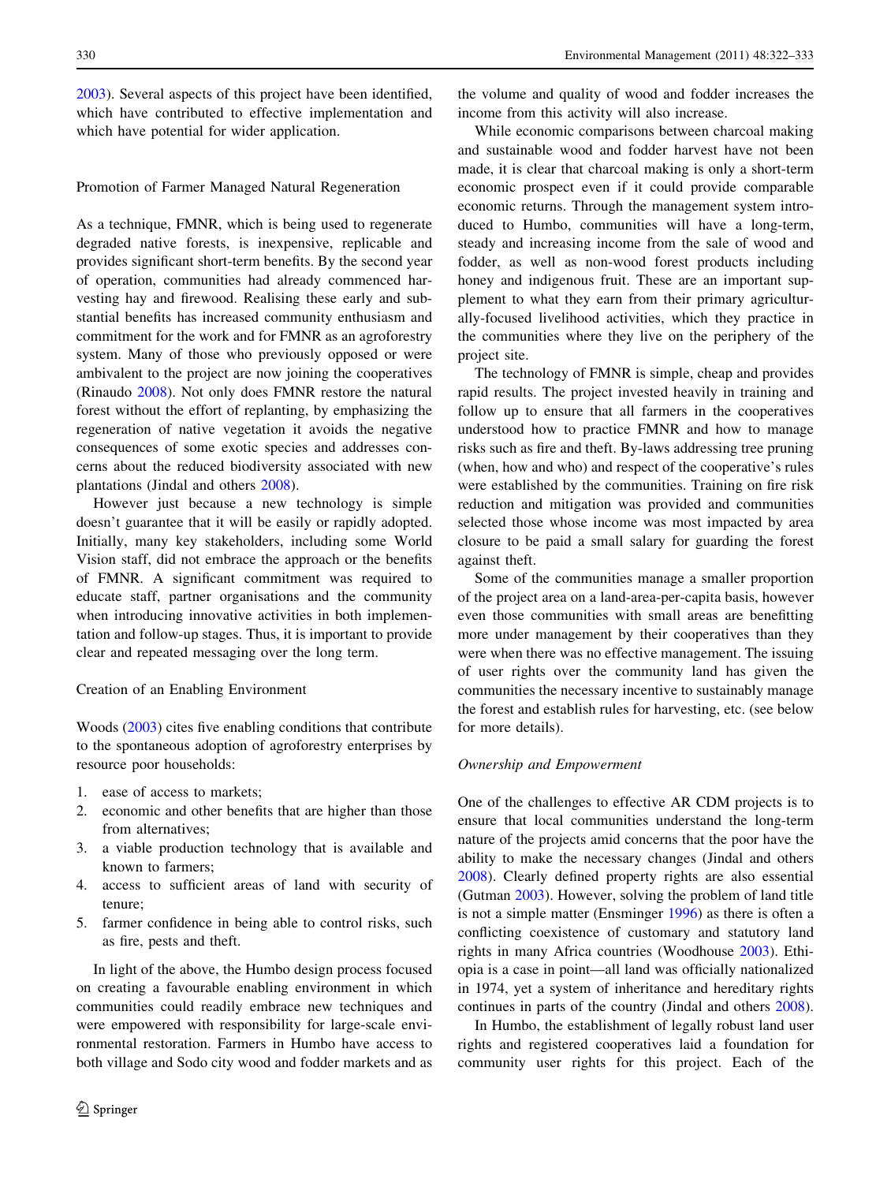[2003\)](#page-10-0). Several aspects of this project have been identified, which have contributed to effective implementation and which have potential for wider application.

#### Promotion of Farmer Managed Natural Regeneration

As a technique, FMNR, which is being used to regenerate degraded native forests, is inexpensive, replicable and provides significant short-term benefits. By the second year of operation, communities had already commenced harvesting hay and firewood. Realising these early and substantial benefits has increased community enthusiasm and commitment for the work and for FMNR as an agroforestry system. Many of those who previously opposed or were ambivalent to the project are now joining the cooperatives (Rinaudo [2008\)](#page-11-0). Not only does FMNR restore the natural forest without the effort of replanting, by emphasizing the regeneration of native vegetation it avoids the negative consequences of some exotic species and addresses concerns about the reduced biodiversity associated with new plantations (Jindal and others [2008](#page-10-0)).

However just because a new technology is simple doesn't guarantee that it will be easily or rapidly adopted. Initially, many key stakeholders, including some World Vision staff, did not embrace the approach or the benefits of FMNR. A significant commitment was required to educate staff, partner organisations and the community when introducing innovative activities in both implementation and follow-up stages. Thus, it is important to provide clear and repeated messaging over the long term.

#### Creation of an Enabling Environment

Woods [\(2003](#page-11-0)) cites five enabling conditions that contribute to the spontaneous adoption of agroforestry enterprises by resource poor households:

- 1. ease of access to markets;
- 2. economic and other benefits that are higher than those from alternatives;
- 3. a viable production technology that is available and known to farmers;
- 4. access to sufficient areas of land with security of tenure;
- 5. farmer confidence in being able to control risks, such as fire, pests and theft.

In light of the above, the Humbo design process focused on creating a favourable enabling environment in which communities could readily embrace new techniques and were empowered with responsibility for large-scale environmental restoration. Farmers in Humbo have access to both village and Sodo city wood and fodder markets and as

the volume and quality of wood and fodder increases the income from this activity will also increase.

While economic comparisons between charcoal making and sustainable wood and fodder harvest have not been made, it is clear that charcoal making is only a short-term economic prospect even if it could provide comparable economic returns. Through the management system introduced to Humbo, communities will have a long-term, steady and increasing income from the sale of wood and fodder, as well as non-wood forest products including honey and indigenous fruit. These are an important supplement to what they earn from their primary agriculturally-focused livelihood activities, which they practice in the communities where they live on the periphery of the project site.

The technology of FMNR is simple, cheap and provides rapid results. The project invested heavily in training and follow up to ensure that all farmers in the cooperatives understood how to practice FMNR and how to manage risks such as fire and theft. By-laws addressing tree pruning (when, how and who) and respect of the cooperative's rules were established by the communities. Training on fire risk reduction and mitigation was provided and communities selected those whose income was most impacted by area closure to be paid a small salary for guarding the forest against theft.

Some of the communities manage a smaller proportion of the project area on a land-area-per-capita basis, however even those communities with small areas are benefitting more under management by their cooperatives than they were when there was no effective management. The issuing of user rights over the community land has given the communities the necessary incentive to sustainably manage the forest and establish rules for harvesting, etc. (see below for more details).

### Ownership and Empowerment

One of the challenges to effective AR CDM projects is to ensure that local communities understand the long-term nature of the projects amid concerns that the poor have the ability to make the necessary changes (Jindal and others [2008](#page-10-0)). Clearly defined property rights are also essential (Gutman [2003](#page-10-0)). However, solving the problem of land title is not a simple matter (Ensminger [1996](#page-10-0)) as there is often a conflicting coexistence of customary and statutory land rights in many Africa countries (Woodhouse [2003\)](#page-11-0). Ethiopia is a case in point—all land was officially nationalized in 1974, yet a system of inheritance and hereditary rights continues in parts of the country (Jindal and others [2008](#page-10-0)).

In Humbo, the establishment of legally robust land user rights and registered cooperatives laid a foundation for community user rights for this project. Each of the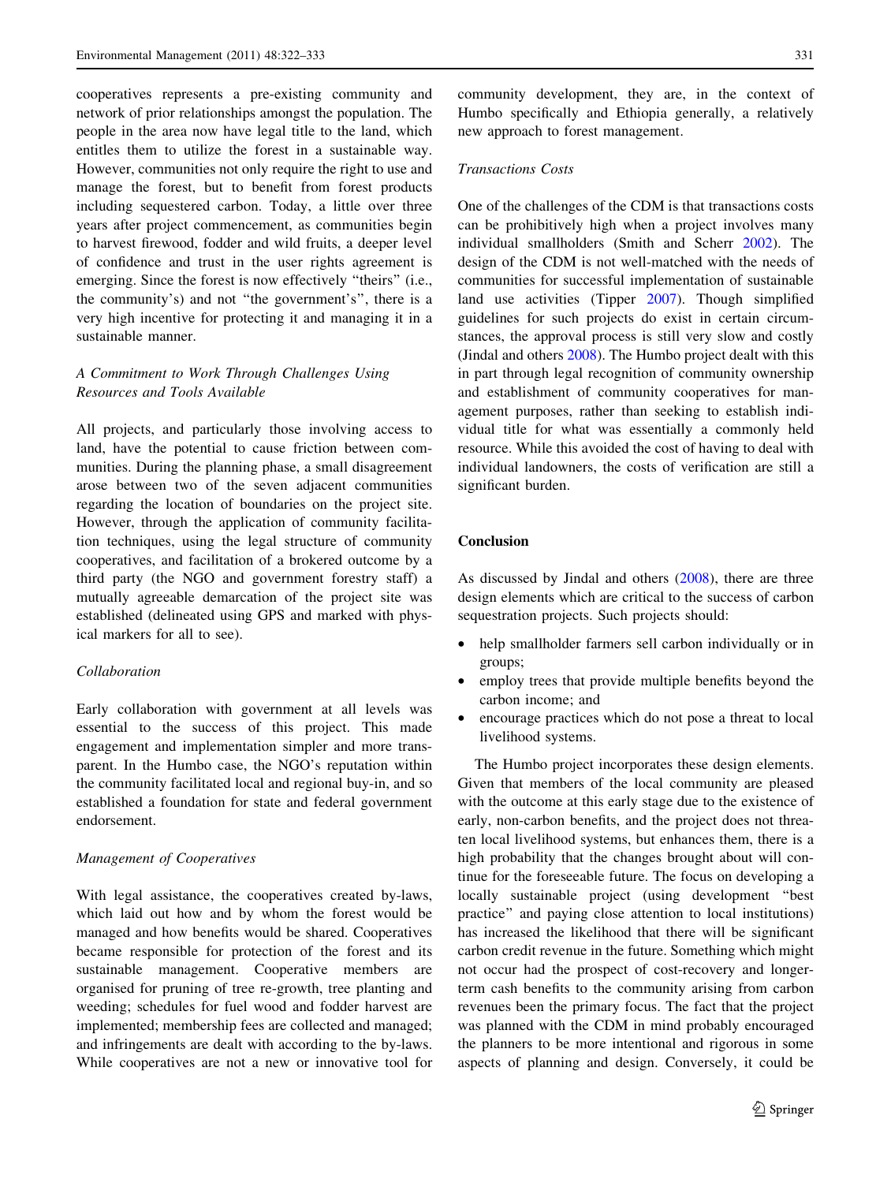cooperatives represents a pre-existing community and network of prior relationships amongst the population. The people in the area now have legal title to the land, which entitles them to utilize the forest in a sustainable way. However, communities not only require the right to use and manage the forest, but to benefit from forest products including sequestered carbon. Today, a little over three years after project commencement, as communities begin to harvest firewood, fodder and wild fruits, a deeper level of confidence and trust in the user rights agreement is emerging. Since the forest is now effectively ''theirs'' (i.e., the community's) and not ''the government's'', there is a very high incentive for protecting it and managing it in a sustainable manner.

# A Commitment to Work Through Challenges Using Resources and Tools Available

All projects, and particularly those involving access to land, have the potential to cause friction between communities. During the planning phase, a small disagreement arose between two of the seven adjacent communities regarding the location of boundaries on the project site. However, through the application of community facilitation techniques, using the legal structure of community cooperatives, and facilitation of a brokered outcome by a third party (the NGO and government forestry staff) a mutually agreeable demarcation of the project site was established (delineated using GPS and marked with physical markers for all to see).

## Collaboration

Early collaboration with government at all levels was essential to the success of this project. This made engagement and implementation simpler and more transparent. In the Humbo case, the NGO's reputation within the community facilitated local and regional buy-in, and so established a foundation for state and federal government endorsement.

### Management of Cooperatives

With legal assistance, the cooperatives created by-laws, which laid out how and by whom the forest would be managed and how benefits would be shared. Cooperatives became responsible for protection of the forest and its sustainable management. Cooperative members are organised for pruning of tree re-growth, tree planting and weeding; schedules for fuel wood and fodder harvest are implemented; membership fees are collected and managed; and infringements are dealt with according to the by-laws. While cooperatives are not a new or innovative tool for community development, they are, in the context of Humbo specifically and Ethiopia generally, a relatively new approach to forest management.

## Transactions Costs

One of the challenges of the CDM is that transactions costs can be prohibitively high when a project involves many individual smallholders (Smith and Scherr [2002\)](#page-11-0). The design of the CDM is not well-matched with the needs of communities for successful implementation of sustainable land use activities (Tipper [2007\)](#page-11-0). Though simplified guidelines for such projects do exist in certain circumstances, the approval process is still very slow and costly (Jindal and others [2008](#page-10-0)). The Humbo project dealt with this in part through legal recognition of community ownership and establishment of community cooperatives for management purposes, rather than seeking to establish individual title for what was essentially a commonly held resource. While this avoided the cost of having to deal with individual landowners, the costs of verification are still a significant burden.

## Conclusion

As discussed by Jindal and others ([2008\)](#page-10-0), there are three design elements which are critical to the success of carbon sequestration projects. Such projects should:

- help smallholder farmers sell carbon individually or in groups;
- employ trees that provide multiple benefits beyond the carbon income; and
- encourage practices which do not pose a threat to local livelihood systems.

The Humbo project incorporates these design elements. Given that members of the local community are pleased with the outcome at this early stage due to the existence of early, non-carbon benefits, and the project does not threaten local livelihood systems, but enhances them, there is a high probability that the changes brought about will continue for the foreseeable future. The focus on developing a locally sustainable project (using development ''best practice'' and paying close attention to local institutions) has increased the likelihood that there will be significant carbon credit revenue in the future. Something which might not occur had the prospect of cost-recovery and longerterm cash benefits to the community arising from carbon revenues been the primary focus. The fact that the project was planned with the CDM in mind probably encouraged the planners to be more intentional and rigorous in some aspects of planning and design. Conversely, it could be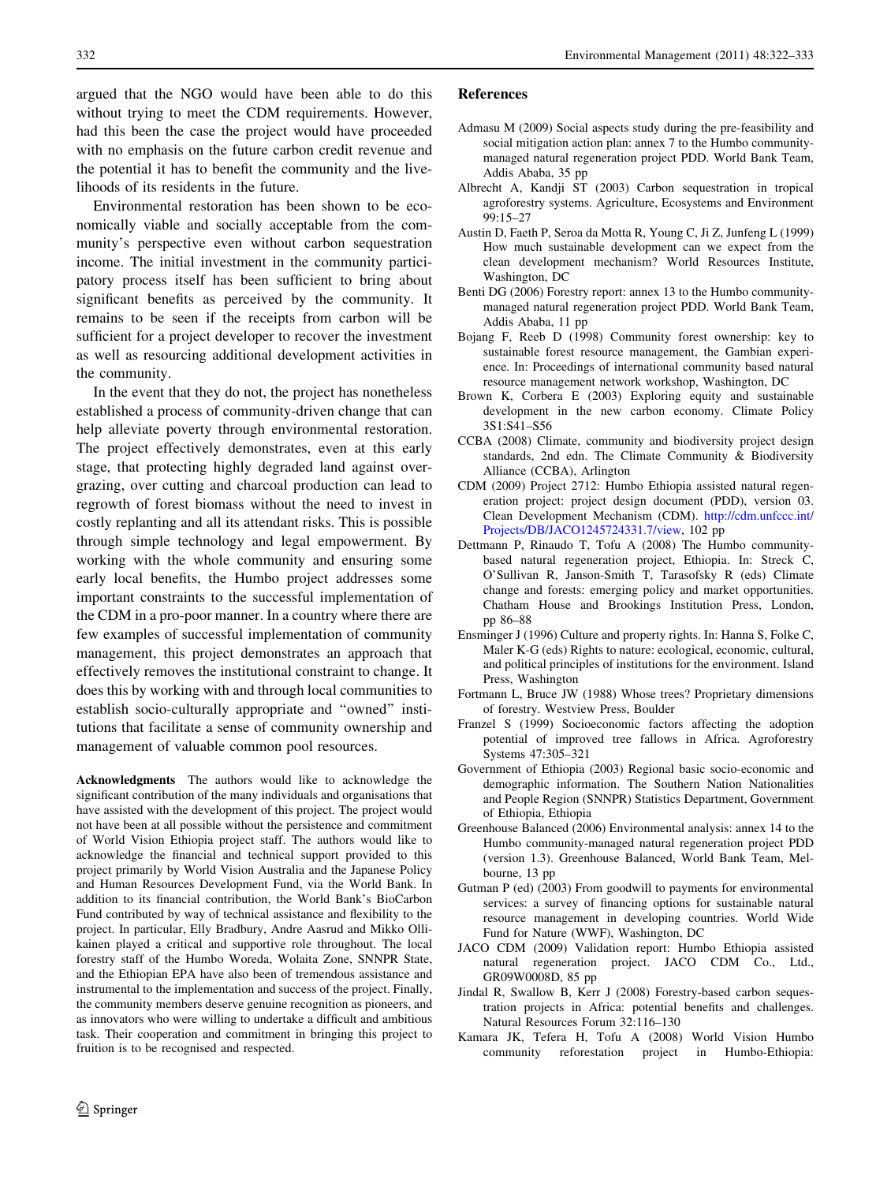<span id="page-10-0"></span>argued that the NGO would have been able to do this without trying to meet the CDM requirements. However, had this been the case the project would have proceeded with no emphasis on the future carbon credit revenue and the potential it has to benefit the community and the livelihoods of its residents in the future.

Environmental restoration has been shown to be economically viable and socially acceptable from the community's perspective even without carbon sequestration income. The initial investment in the community participatory process itself has been sufficient to bring about significant benefits as perceived by the community. It remains to be seen if the receipts from carbon will be sufficient for a project developer to recover the investment as well as resourcing additional development activities in the community.

In the event that they do not, the project has nonetheless established a process of community-driven change that can help alleviate poverty through environmental restoration. The project effectively demonstrates, even at this early stage, that protecting highly degraded land against overgrazing, over cutting and charcoal production can lead to regrowth of forest biomass without the need to invest in costly replanting and all its attendant risks. This is possible through simple technology and legal empowerment. By working with the whole community and ensuring some early local benefits, the Humbo project addresses some important constraints to the successful implementation of the CDM in a pro-poor manner. In a country where there are few examples of successful implementation of community management, this project demonstrates an approach that effectively removes the institutional constraint to change. It does this by working with and through local communities to establish socio-culturally appropriate and ''owned'' institutions that facilitate a sense of community ownership and management of valuable common pool resources.

Acknowledgments The authors would like to acknowledge the significant contribution of the many individuals and organisations that have assisted with the development of this project. The project would not have been at all possible without the persistence and commitment of World Vision Ethiopia project staff. The authors would like to acknowledge the financial and technical support provided to this project primarily by World Vision Australia and the Japanese Policy and Human Resources Development Fund, via the World Bank. In addition to its financial contribution, the World Bank's BioCarbon Fund contributed by way of technical assistance and flexibility to the project. In particular, Elly Bradbury, Andre Aasrud and Mikko Ollikainen played a critical and supportive role throughout. The local forestry staff of the Humbo Woreda, Wolaita Zone, SNNPR State, and the Ethiopian EPA have also been of tremendous assistance and instrumental to the implementation and success of the project. Finally, the community members deserve genuine recognition as pioneers, and as innovators who were willing to undertake a difficult and ambitious task. Their cooperation and commitment in bringing this project to fruition is to be recognised and respected.

#### References

- Admasu M (2009) Social aspects study during the pre-feasibility and social mitigation action plan: annex 7 to the Humbo communitymanaged natural regeneration project PDD. World Bank Team, Addis Ababa, 35 pp
- Albrecht A, Kandji ST (2003) Carbon sequestration in tropical agroforestry systems. Agriculture, Ecosystems and Environment 99:15–27
- Austin D, Faeth P, Seroa da Motta R, Young C, Ji Z, Junfeng L (1999) How much sustainable development can we expect from the clean development mechanism? World Resources Institute, Washington, DC
- Benti DG (2006) Forestry report: annex 13 to the Humbo communitymanaged natural regeneration project PDD. World Bank Team, Addis Ababa, 11 pp
- Bojang F, Reeb D (1998) Community forest ownership: key to sustainable forest resource management, the Gambian experience. In: Proceedings of international community based natural resource management network workshop, Washington, DC
- Brown K, Corbera E (2003) Exploring equity and sustainable development in the new carbon economy. Climate Policy 3S1:S41–S56
- CCBA (2008) Climate, community and biodiversity project design standards, 2nd edn. The Climate Community & Biodiversity Alliance (CCBA), Arlington
- CDM (2009) Project 2712: Humbo Ethiopia assisted natural regeneration project: project design document (PDD), version 03. Clean Development Mechanism (CDM). [http://cdm.unfccc.int/](http://cdm.unfccc.int/Projects/DB/JACO1245724331.7/view) [Projects/DB/JACO1245724331.7/view,](http://cdm.unfccc.int/Projects/DB/JACO1245724331.7/view) 102 pp
- Dettmann P, Rinaudo T, Tofu A (2008) The Humbo communitybased natural regeneration project, Ethiopia. In: Streck C, O'Sullivan R, Janson-Smith T, Tarasofsky R (eds) Climate change and forests: emerging policy and market opportunities. Chatham House and Brookings Institution Press, London, pp 86–88
- Ensminger J (1996) Culture and property rights. In: Hanna S, Folke C, Maler K-G (eds) Rights to nature: ecological, economic, cultural, and political principles of institutions for the environment. Island Press, Washington
- Fortmann L, Bruce JW (1988) Whose trees? Proprietary dimensions of forestry. Westview Press, Boulder
- Franzel S (1999) Socioeconomic factors affecting the adoption potential of improved tree fallows in Africa. Agroforestry Systems 47:305–321
- Government of Ethiopia (2003) Regional basic socio-economic and demographic information. The Southern Nation Nationalities and People Region (SNNPR) Statistics Department, Government of Ethiopia, Ethiopia
- Greenhouse Balanced (2006) Environmental analysis: annex 14 to the Humbo community-managed natural regeneration project PDD (version 1.3). Greenhouse Balanced, World Bank Team, Melbourne, 13 pp
- Gutman P (ed) (2003) From goodwill to payments for environmental services: a survey of financing options for sustainable natural resource management in developing countries. World Wide Fund for Nature (WWF), Washington, DC
- JACO CDM (2009) Validation report: Humbo Ethiopia assisted natural regeneration project. JACO CDM Co., Ltd., GR09W0008D, 85 pp
- Jindal R, Swallow B, Kerr J (2008) Forestry-based carbon sequestration projects in Africa: potential benefits and challenges. Natural Resources Forum 32:116–130
- Kamara JK, Tefera H, Tofu A (2008) World Vision Humbo community reforestation project in Humbo-Ethiopia: